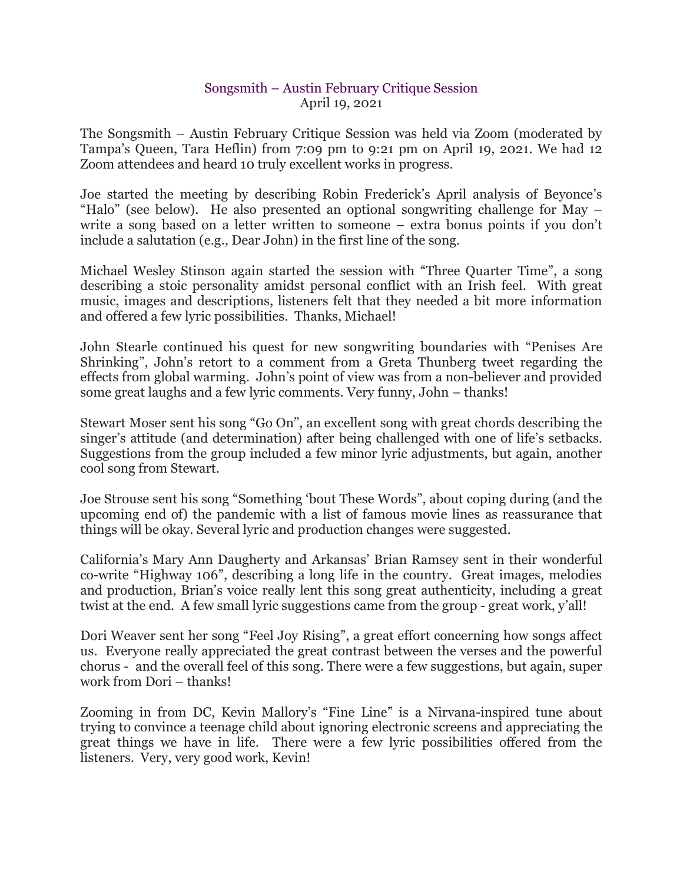## Songsmith – Austin February Critique Session April 19, 2021

The Songsmith – Austin February Critique Session was held via Zoom (moderated by Tampa's Queen, Tara Heflin) from 7:09 pm to 9:21 pm on April 19, 2021. We had 12 Zoom attendees and heard 10 truly excellent works in progress.

Joe started the meeting by describing Robin Frederick's April analysis of Beyonce's "Halo" (see below). He also presented an optional songwriting challenge for May – write a song based on a letter written to someone – extra bonus points if you don't include a salutation (e.g., Dear John) in the first line of the song.

Michael Wesley Stinson again started the session with "Three Quarter Time", a song describing a stoic personality amidst personal conflict with an Irish feel. With great music, images and descriptions, listeners felt that they needed a bit more information and offered a few lyric possibilities. Thanks, Michael!

John Stearle continued his quest for new songwriting boundaries with "Penises Are Shrinking", John's retort to a comment from a Greta Thunberg tweet regarding the effects from global warming. John's point of view was from a non-believer and provided some great laughs and a few lyric comments. Very funny, John – thanks!

Stewart Moser sent his song "Go On", an excellent song with great chords describing the singer's attitude (and determination) after being challenged with one of life's setbacks. Suggestions from the group included a few minor lyric adjustments, but again, another cool song from Stewart.

Joe Strouse sent his song "Something 'bout These Words", about coping during (and the upcoming end of) the pandemic with a list of famous movie lines as reassurance that things will be okay. Several lyric and production changes were suggested.

California's Mary Ann Daugherty and Arkansas' Brian Ramsey sent in their wonderful co-write "Highway 106", describing a long life in the country. Great images, melodies and production, Brian's voice really lent this song great authenticity, including a great twist at the end. A few small lyric suggestions came from the group - great work, y'all!

Dori Weaver sent her song "Feel Joy Rising", a great effort concerning how songs affect us. Everyone really appreciated the great contrast between the verses and the powerful chorus - and the overall feel of this song. There were a few suggestions, but again, super work from Dori – thanks!

Zooming in from DC, Kevin Mallory's "Fine Line" is a Nirvana-inspired tune about trying to convince a teenage child about ignoring electronic screens and appreciating the great things we have in life. There were a few lyric possibilities offered from the listeners. Very, very good work, Kevin!